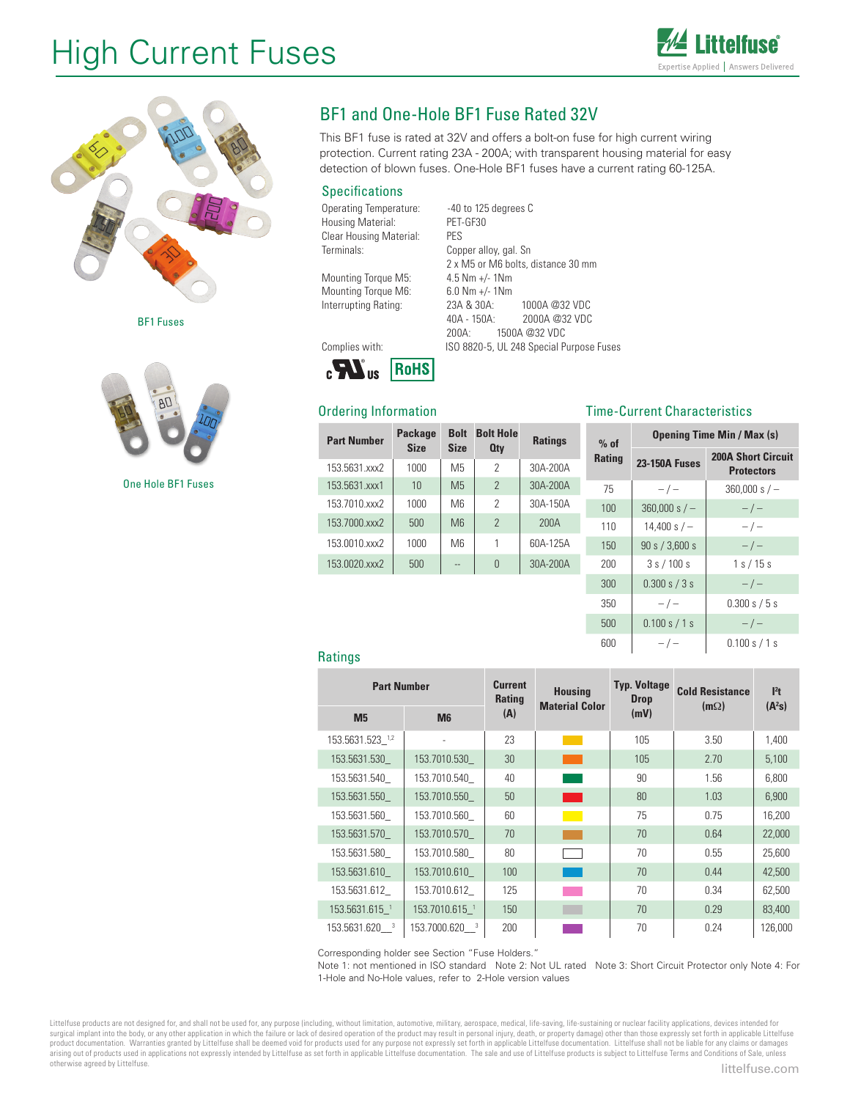# High Current Fuses





BF1 Fuses



One Hole BF1 Fuses

# BF1 and One-Hole BF1 Fuse Rated 32V

This BF1 fuse is rated at 32V and offers a bolt-on fuse for high current wiring protection. Current rating 23A - 200A; with transparent housing material for easy detection of blown fuses. One-Hole BF1 fuses have a current rating 60-125A.

## **Specifications**

Operating Temperature: -40 to 125 degrees C Housing Material: PET-GF30<br>Clear Housing Material: PES Clear Housing Material: Terminals: Copper alloy, gal. Sn

Mounting Torque M5: 4.5 Nm +/- 1Nm<br>Mounting Torque M6: 6.0 Nm +/- 1Nm Mounting Torque M6:

2 x M5 or M6 bolts, distance 30 mm Interrupting Rating: 23A & 30A: 1000A @32 VDC 2000A @32 VDC 200A: 1500A @32 VDC Complies with: ISO 8820-5, UL 248 Special Purpose Fuses



# Ordering Information

| ווטווווטווווטווווסטונ |                               |                            |                  | THILL QUITCHE QHULQUELISHUS |               |                      |                                   |  |
|-----------------------|-------------------------------|----------------------------|------------------|-----------------------------|---------------|----------------------|-----------------------------------|--|
| <b>Part Number</b>    | <b>Package</b><br><b>Size</b> | <b>Bolt</b><br><b>Size</b> | <b>Bolt Hole</b> | <b>Ratings</b>              | $%$ of        |                      | <b>Opening Time Min / Max (s)</b> |  |
|                       |                               |                            | <b>Qty</b>       |                             | <b>Rating</b> |                      | <b>200A Short Circuit</b>         |  |
| 153.5631.xxx2         | 1000                          | M <sub>5</sub>             | 2                | 30A-200A                    |               | <b>23-150A Fuses</b> | <b>Protectors</b>                 |  |
| 153.5631.xxx1         | 10                            | M <sub>5</sub>             | $\overline{2}$   | 30A-200A                    | 75            | $-/-$                | $360,000 s/-$                     |  |
| 153.7010.xxx2         | 1000                          | M6                         | 2                | 30A-150A                    | 100           | $360,000 s/-$        | $-/-$                             |  |
| 153.7000.xxx2         | 500                           | M6                         | $\overline{2}$   | 200A                        | 110           | 14,400 s $/ -$       | $-/-$                             |  |
| 153.0010.xxx2         | 1000                          | M <sub>6</sub>             |                  | 60A-125A                    | 150           | 90 s / 3,600 s       | $-/-$                             |  |
| 153.0020.xxx2         | 500                           | $\overline{a}$             | $\overline{0}$   | 30A-200A                    | 200           | 3s/100s              | 1 s / 15 s                        |  |
|                       |                               |                            |                  |                             | 300           | 0.300 s / 3 s        | $-/-$                             |  |

#### Time-Current Characteristics

| 350        |               | 0.300 s / 5 s |
|------------|---------------|---------------|
| 500        | 0.100 s / 1 s |               |
| <b>RUU</b> |               | 0.100 s / 1 s |

#### **Ratings**

| <b>Part Number</b> |                           | <b>Current</b><br>Rating | <b>Housing</b><br><b>Material Color</b> | <b>Typ. Voltage</b><br><b>Drop</b> | <b>Cold Resistance</b><br>$(m\Omega)$ | $l2$ t<br>$(A^2s)$ |
|--------------------|---------------------------|--------------------------|-----------------------------------------|------------------------------------|---------------------------------------|--------------------|
| M <sub>5</sub>     | <b>M6</b>                 | (A)                      |                                         | (mV)                               |                                       |                    |
| 153.5631.523_1,2   |                           | 23                       |                                         | 105                                | 3.50                                  | 1,400              |
| 153.5631.530       | 153.7010.530              | 30                       |                                         | 105                                | 2.70                                  | 5,100              |
| 153.5631.540       | 153.7010.540              | 40                       |                                         | 90                                 | 1.56                                  | 6,800              |
| 153.5631.550       | 153.7010.550              | 50                       | <b>Service Service</b>                  | 80                                 | 1.03                                  | 6,900              |
| 153.5631.560       | 153.7010.560              | 60                       |                                         | 75                                 | 0.75                                  | 16,200             |
| 153.5631.570       | 153.7010.570              | 70                       |                                         | 70                                 | 0.64                                  | 22,000             |
| 153.5631.580       | 153.7010.580              | 80                       |                                         | 70                                 | 0.55                                  | 25,600             |
| 153.5631.610       | 153.7010.610              | 100                      |                                         | 70                                 | 0.44                                  | 42,500             |
| 153.5631.612       | 153.7010.612              | 125                      |                                         | 70                                 | 0.34                                  | 62,500             |
| 153.5631.615 1     | 153.7010.615 <sup>1</sup> | 150                      |                                         | 70                                 | 0.29                                  | 83,400             |
| 153.5631.620 3     | 153.7000.620 3            | 200                      |                                         | 70                                 | 0.24                                  | 126,000            |

Corresponding holder see Section "Fuse Holders."

Note 1: not mentioned in ISO standard Note 2: Not UL rated Note 3: Short Circuit Protector only Note 4: For 1-Hole and No-Hole values, refer to 2-Hole version values

Littelfuse products are not designed for, and shall not be used for, any purpose (including, without limitation, automotive, military, aerospace, medical, life-saving, life-sustaining or nuclear facility applications, devi surgical implant into the body, or any other application in which the failure or lack of desired operation of the product may result in personal injury, death, or property damage) other than those expressly set forth in ap product documentation. Warranties granted by Littelfuse shall be deemed void for products used for any purpose not expressly set forth in applicable Littelfuse documentation. Littelfuse shall not be liable for any claims o otherwise agreed by Littelfuse.<br> **littelfuse.com**